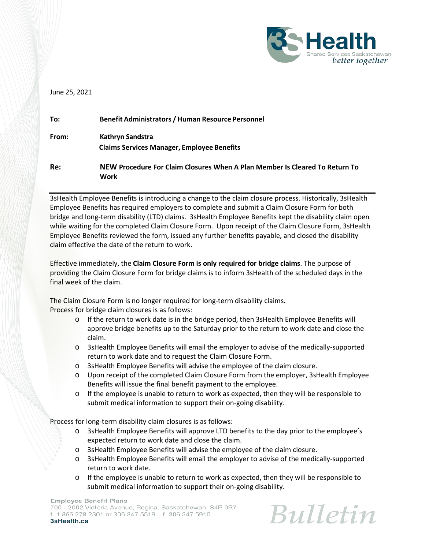

June 25, 2021

| To:   | <b>Benefit Administrators / Human Resource Personnel</b>                            |
|-------|-------------------------------------------------------------------------------------|
| From: | Kathryn Sandstra                                                                    |
|       | <b>Claims Services Manager, Employee Benefits</b>                                   |
| Re:   | NEW Procedure For Claim Closures When A Plan Member Is Cleared To Return To<br>Work |

3sHealth Employee Benefits is introducing a change to the claim closure process. Historically, 3sHealth Employee Benefits has required employers to complete and submit a Claim Closure Form for both bridge and long-term disability (LTD) claims. 3sHealth Employee Benefits kept the disability claim open while waiting for the completed Claim Closure Form. Upon receipt of the Claim Closure Form, 3sHealth Employee Benefits reviewed the form, issued any further benefits payable, and closed the disability claim effective the date of the return to work.

Effective immediately, the **Claim Closure Form is only required for bridge claims**. The purpose of providing the Claim Closure Form for bridge claims is to inform 3sHealth of the scheduled days in the final week of the claim.

The Claim Closure Form is no longer required for long-term disability claims. Process for bridge claim closures is as follows:

- o If the return to work date is in the bridge period, then 3sHealth Employee Benefits will approve bridge benefits up to the Saturday prior to the return to work date and close the claim.
- o 3sHealth Employee Benefits will email the employer to advise of the medically-supported return to work date and to request the Claim Closure Form.
- o 3sHealth Employee Benefits will advise the employee of the claim closure.
- o Upon receipt of the completed Claim Closure Form from the employer, 3sHealth Employee Benefits will issue the final benefit payment to the employee.
- o If the employee is unable to return to work as expected, then they will be responsible to submit medical information to support their on-going disability.

Process for long-term disability claim closures is as follows:

- o 3sHealth Employee Benefits will approve LTD benefits to the day prior to the employee's expected return to work date and close the claim.
- o 3sHealth Employee Benefits will advise the employee of the claim closure.
- o 3sHealth Employee Benefits will email the employer to advise of the medically-supported return to work date.
- $\circ$  If the employee is unable to return to work as expected, then they will be responsible to submit medical information to support their on-going disability.